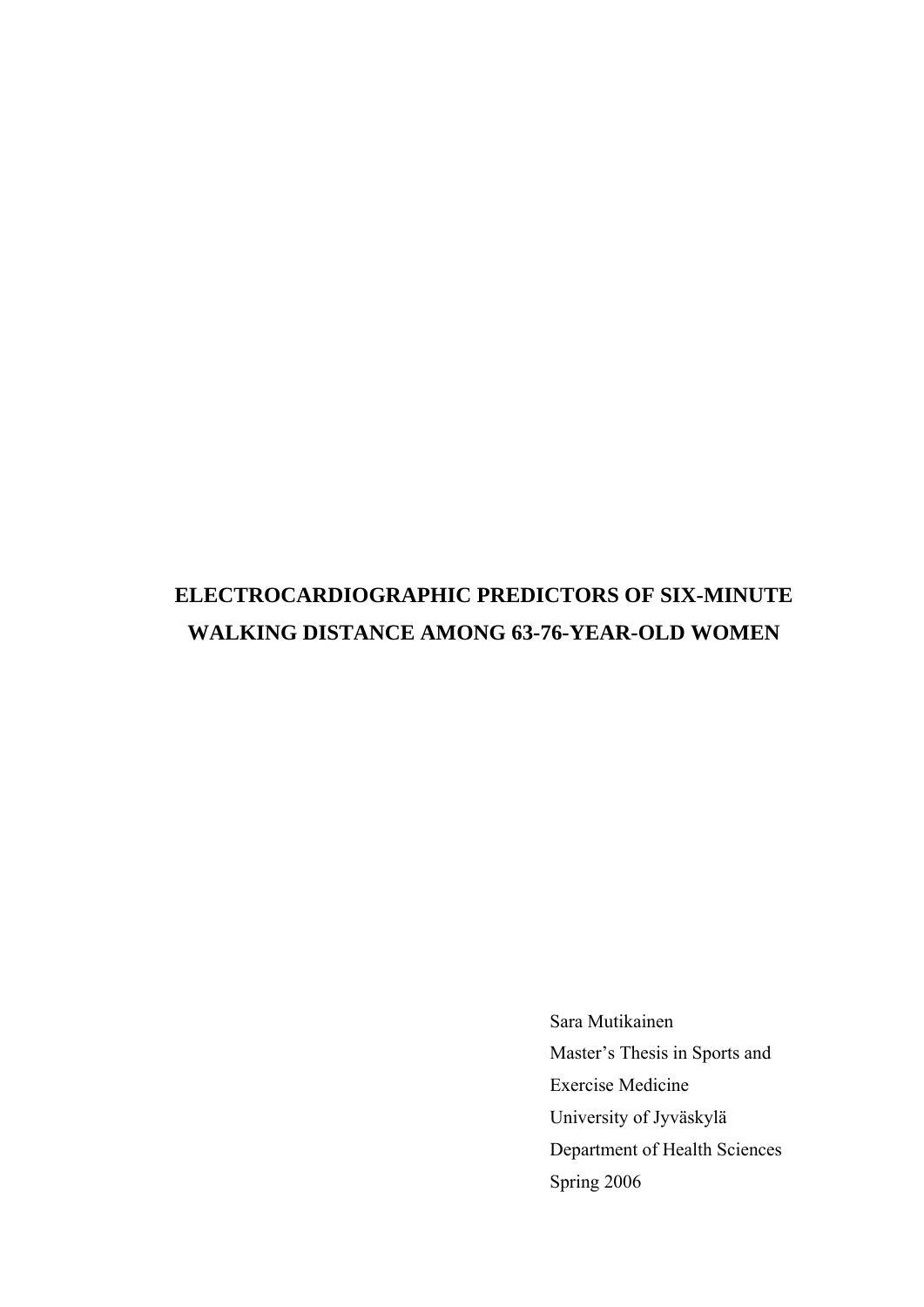# **ELECTROCARDIOGRAPHIC PREDICTORS OF SIX-MINUTE WALKING DISTANCE AMONG 63-76-YEAR-OLD WOMEN**

Sara Mutikainen Master's Thesis in Sports and Exercise Medicine University of Jyväskylä Department of Health Sciences Spring 2006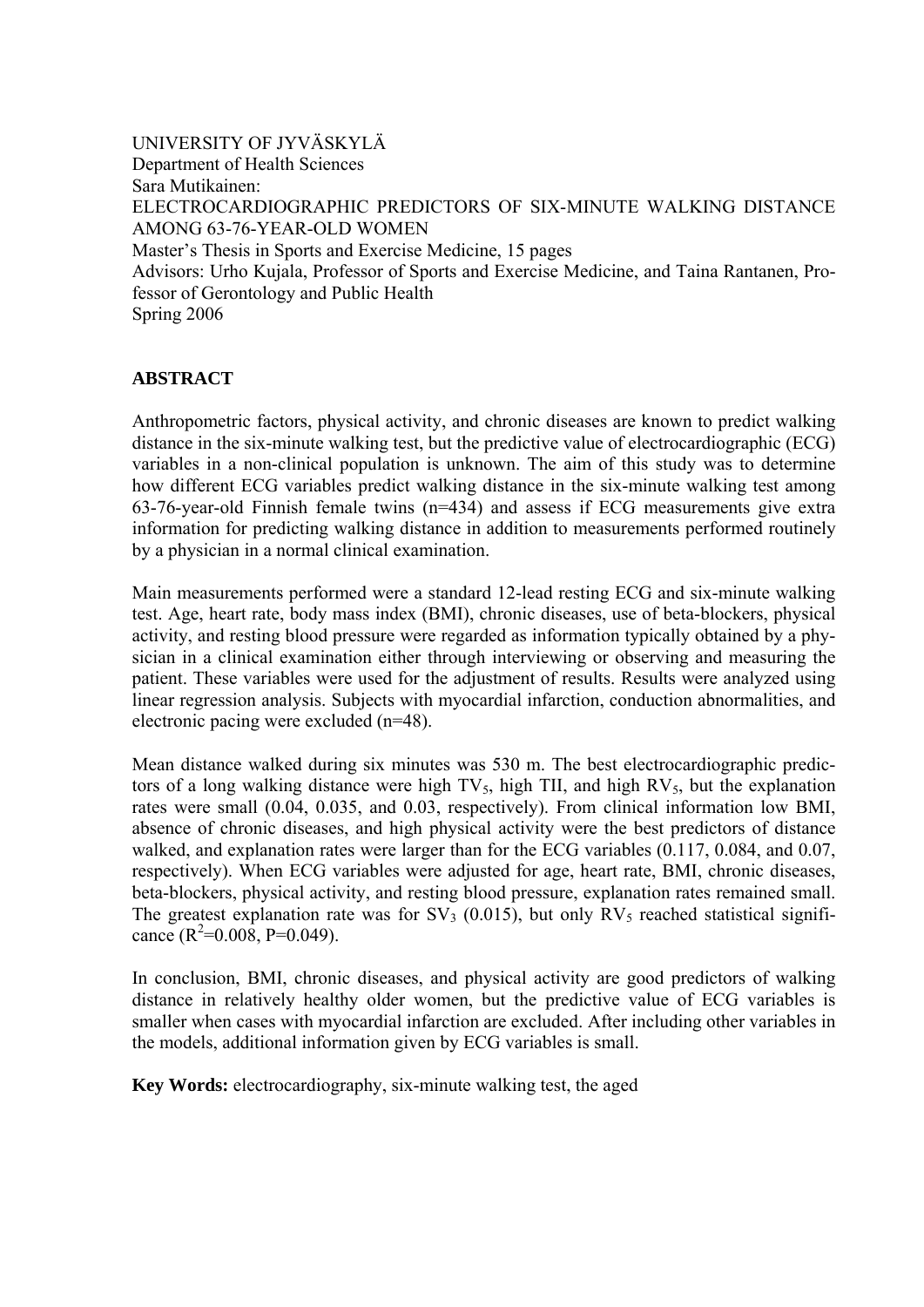UNIVERSITY OF JYVÄSKYLÄ Department of Health Sciences Sara Mutikainen: ELECTROCARDIOGRAPHIC PREDICTORS OF SIX-MINUTE WALKING DISTANCE AMONG 63-76-YEAR-OLD WOMEN Master's Thesis in Sports and Exercise Medicine, 15 pages Advisors: Urho Kujala, Professor of Sports and Exercise Medicine, and Taina Rantanen, Professor of Gerontology and Public Health Spring 2006

## **ABSTRACT**

Anthropometric factors, physical activity, and chronic diseases are known to predict walking distance in the six-minute walking test, but the predictive value of electrocardiographic (ECG) variables in a non-clinical population is unknown. The aim of this study was to determine how different ECG variables predict walking distance in the six-minute walking test among 63-76-year-old Finnish female twins (n=434) and assess if ECG measurements give extra information for predicting walking distance in addition to measurements performed routinely by a physician in a normal clinical examination.

Main measurements performed were a standard 12-lead resting ECG and six-minute walking test. Age, heart rate, body mass index (BMI), chronic diseases, use of beta-blockers, physical activity, and resting blood pressure were regarded as information typically obtained by a physician in a clinical examination either through interviewing or observing and measuring the patient. These variables were used for the adjustment of results. Results were analyzed using linear regression analysis. Subjects with myocardial infarction, conduction abnormalities, and electronic pacing were excluded (n=48).

Mean distance walked during six minutes was 530 m. The best electrocardiographic predictors of a long walking distance were high  $TV_5$ , high TII, and high  $RV_5$ , but the explanation rates were small (0.04, 0.035, and 0.03, respectively). From clinical information low BMI, absence of chronic diseases, and high physical activity were the best predictors of distance walked, and explanation rates were larger than for the ECG variables (0.117, 0.084, and 0.07, respectively). When ECG variables were adjusted for age, heart rate, BMI, chronic diseases, beta-blockers, physical activity, and resting blood pressure, explanation rates remained small. The greatest explanation rate was for  $SV_3$  (0.015), but only  $RV_5$  reached statistical significance  $(R^2=0.008, P=0.049)$ .

In conclusion, BMI, chronic diseases, and physical activity are good predictors of walking distance in relatively healthy older women, but the predictive value of ECG variables is smaller when cases with myocardial infarction are excluded. After including other variables in the models, additional information given by ECG variables is small.

**Key Words:** electrocardiography, six-minute walking test, the aged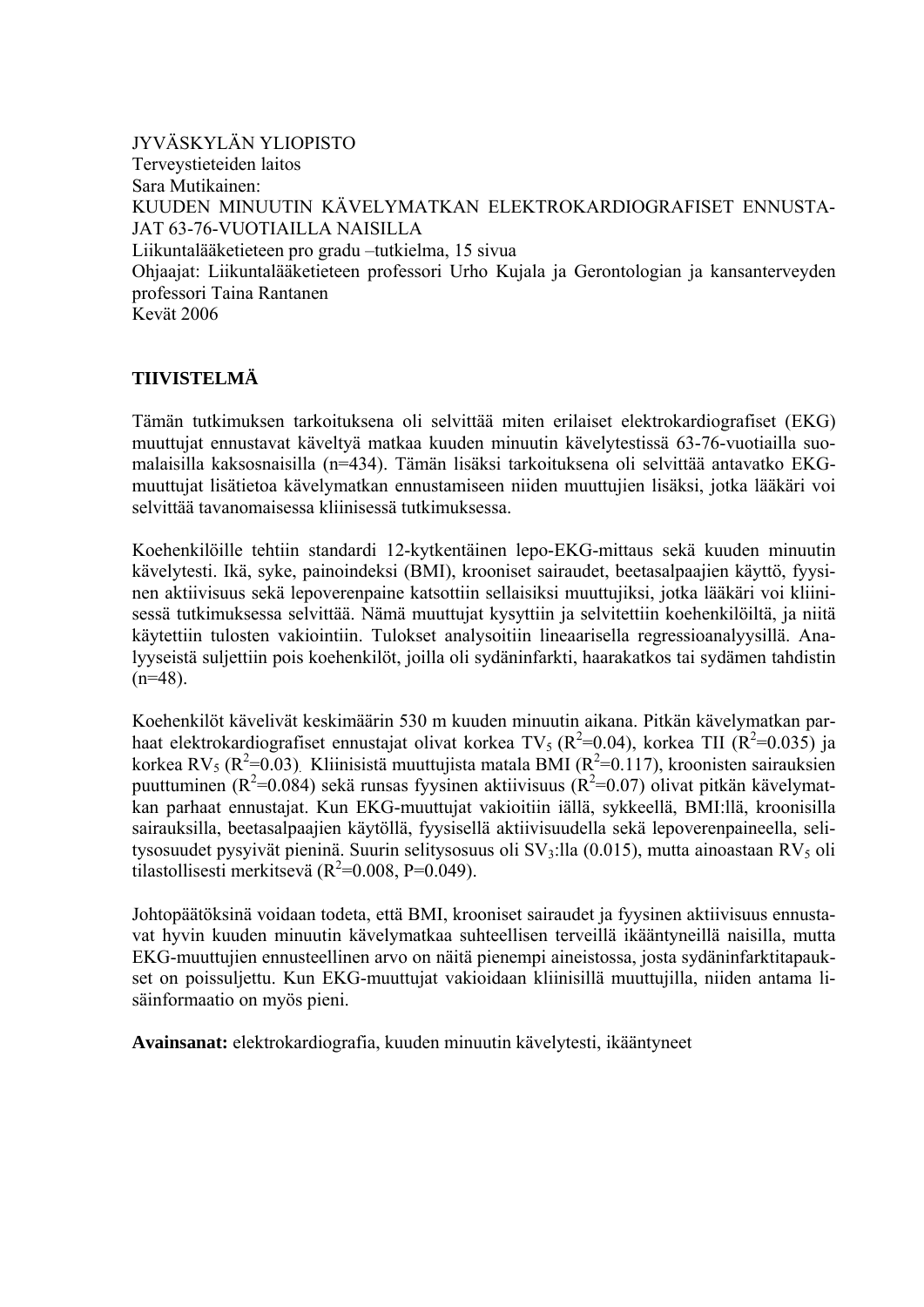JYVÄSKYLÄN YLIOPISTO Terveystieteiden laitos Sara Mutikainen: KUUDEN MINUUTIN KÄVELYMATKAN ELEKTROKARDIOGRAFISET ENNUSTA-JAT 63-76-VUOTIAILLA NAISILLA Liikuntalääketieteen pro gradu –tutkielma, 15 sivua Ohjaajat: Liikuntalääketieteen professori Urho Kujala ja Gerontologian ja kansanterveyden professori Taina Rantanen Kevät 2006

# **TIIVISTELMÄ**

Tämän tutkimuksen tarkoituksena oli selvittää miten erilaiset elektrokardiografiset (EKG) muuttujat ennustavat käveltyä matkaa kuuden minuutin kävelytestissä 63-76-vuotiailla suomalaisilla kaksosnaisilla (n=434). Tämän lisäksi tarkoituksena oli selvittää antavatko EKGmuuttujat lisätietoa kävelymatkan ennustamiseen niiden muuttujien lisäksi, jotka lääkäri voi selvittää tavanomaisessa kliinisessä tutkimuksessa.

Koehenkilöille tehtiin standardi 12-kytkentäinen lepo-EKG-mittaus sekä kuuden minuutin kävelytesti. Ikä, syke, painoindeksi (BMI), krooniset sairaudet, beetasalpaajien käyttö, fyysinen aktiivisuus sekä lepoverenpaine katsottiin sellaisiksi muuttujiksi, jotka lääkäri voi kliinisessä tutkimuksessa selvittää. Nämä muuttujat kysyttiin ja selvitettiin koehenkilöiltä, ja niitä käytettiin tulosten vakiointiin. Tulokset analysoitiin lineaarisella regressioanalyysillä. Analyyseistä suljettiin pois koehenkilöt, joilla oli sydäninfarkti, haarakatkos tai sydämen tahdistin  $(n=48)$ .

Koehenkilöt kävelivät keskimäärin 530 m kuuden minuutin aikana. Pitkän kävelymatkan parhaat elektrokardiografiset ennustajat olivat korkea TV<sub>5</sub> (R<sup>2</sup>=0.04), korkea TII (R<sup>2</sup>=0.035) ja korkea RV<sub>5</sub> (R<sup>2</sup>=0.03). Kliinisistä muuttujista matala BMI (R<sup>2</sup>=0.117), kroonisten sairauksien puuttuminen ( $R^2$ =0.084) sekä runsas fyysinen aktiivisuus ( $R^2$ =0.07) olivat pitkän kävelymatkan parhaat ennustajat. Kun EKG-muuttujat vakioitiin iällä, sykkeellä, BMI:llä, kroonisilla sairauksilla, beetasalpaajien käytöllä, fyysisellä aktiivisuudella sekä lepoverenpaineella, selitysosuudet pysyivät pieninä. Suurin selitysosuus oli  $SV_3$ :lla (0.015), mutta ainoastaan RV<sub>5</sub> oli tilastollisesti merkitsevä ( $R^2$ =0.008, P=0.049).

Johtopäätöksinä voidaan todeta, että BMI, krooniset sairaudet ja fyysinen aktiivisuus ennustavat hyvin kuuden minuutin kävelymatkaa suhteellisen terveillä ikääntyneillä naisilla, mutta EKG-muuttujien ennusteellinen arvo on näitä pienempi aineistossa, josta sydäninfarktitapaukset on poissuljettu. Kun EKG-muuttujat vakioidaan kliinisillä muuttujilla, niiden antama lisäinformaatio on myös pieni.

**Avainsanat:** elektrokardiografia, kuuden minuutin kävelytesti, ikääntyneet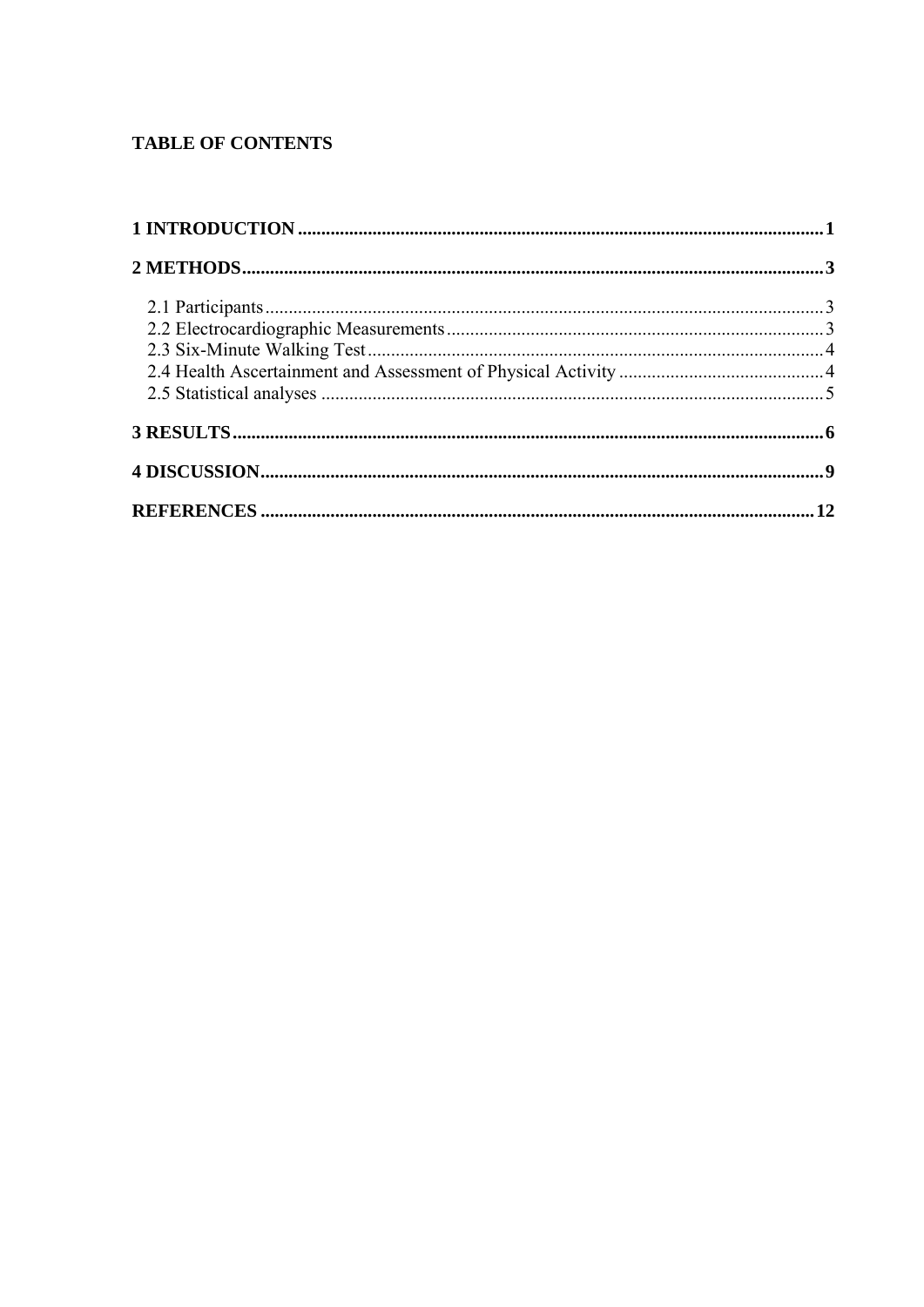# **TABLE OF CONTENTS**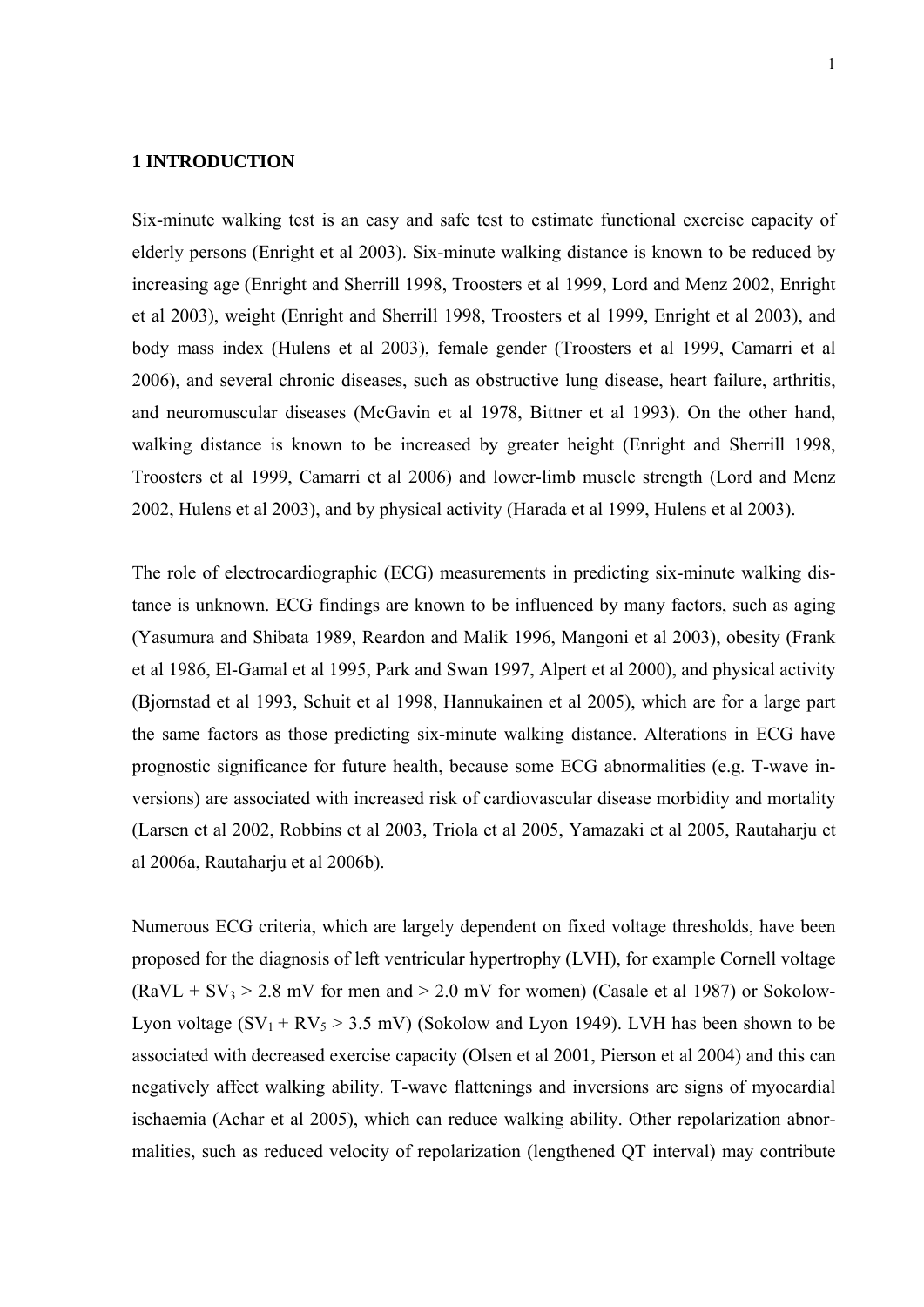## **1 INTRODUCTION**

Six-minute walking test is an easy and safe test to estimate functional exercise capacity of elderly persons (Enright et al 2003). Six-minute walking distance is known to be reduced by increasing age (Enright and Sherrill 1998, Troosters et al 1999, Lord and Menz 2002, Enright et al 2003), weight (Enright and Sherrill 1998, Troosters et al 1999, Enright et al 2003), and body mass index (Hulens et al 2003), female gender (Troosters et al 1999, Camarri et al 2006), and several chronic diseases, such as obstructive lung disease, heart failure, arthritis, and neuromuscular diseases (McGavin et al 1978, Bittner et al 1993). On the other hand, walking distance is known to be increased by greater height (Enright and Sherrill 1998, Troosters et al 1999, Camarri et al 2006) and lower-limb muscle strength (Lord and Menz 2002, Hulens et al 2003), and by physical activity (Harada et al 1999, Hulens et al 2003).

The role of electrocardiographic (ECG) measurements in predicting six-minute walking distance is unknown. ECG findings are known to be influenced by many factors, such as aging (Yasumura and Shibata 1989, Reardon and Malik 1996, Mangoni et al 2003), obesity (Frank et al 1986, El-Gamal et al 1995, Park and Swan 1997, Alpert et al 2000), and physical activity (Bjornstad et al 1993, Schuit et al 1998, Hannukainen et al 2005), which are for a large part the same factors as those predicting six-minute walking distance. Alterations in ECG have prognostic significance for future health, because some ECG abnormalities (e.g. T-wave inversions) are associated with increased risk of cardiovascular disease morbidity and mortality (Larsen et al 2002, Robbins et al 2003, Triola et al 2005, Yamazaki et al 2005, Rautaharju et al 2006a, Rautaharju et al 2006b).

Numerous ECG criteria, which are largely dependent on fixed voltage thresholds, have been proposed for the diagnosis of left ventricular hypertrophy (LVH), for example Cornell voltage  $(RaVL + SV<sub>3</sub> > 2.8$  mV for men and  $> 2.0$  mV for women) (Casale et al 1987) or Sokolow-Lyon voltage  $(SV_1 + RV_5 > 3.5$  mV) (Sokolow and Lyon 1949). LVH has been shown to be associated with decreased exercise capacity (Olsen et al 2001, Pierson et al 2004) and this can negatively affect walking ability. T-wave flattenings and inversions are signs of myocardial ischaemia (Achar et al 2005), which can reduce walking ability. Other repolarization abnormalities, such as reduced velocity of repolarization (lengthened QT interval) may contribute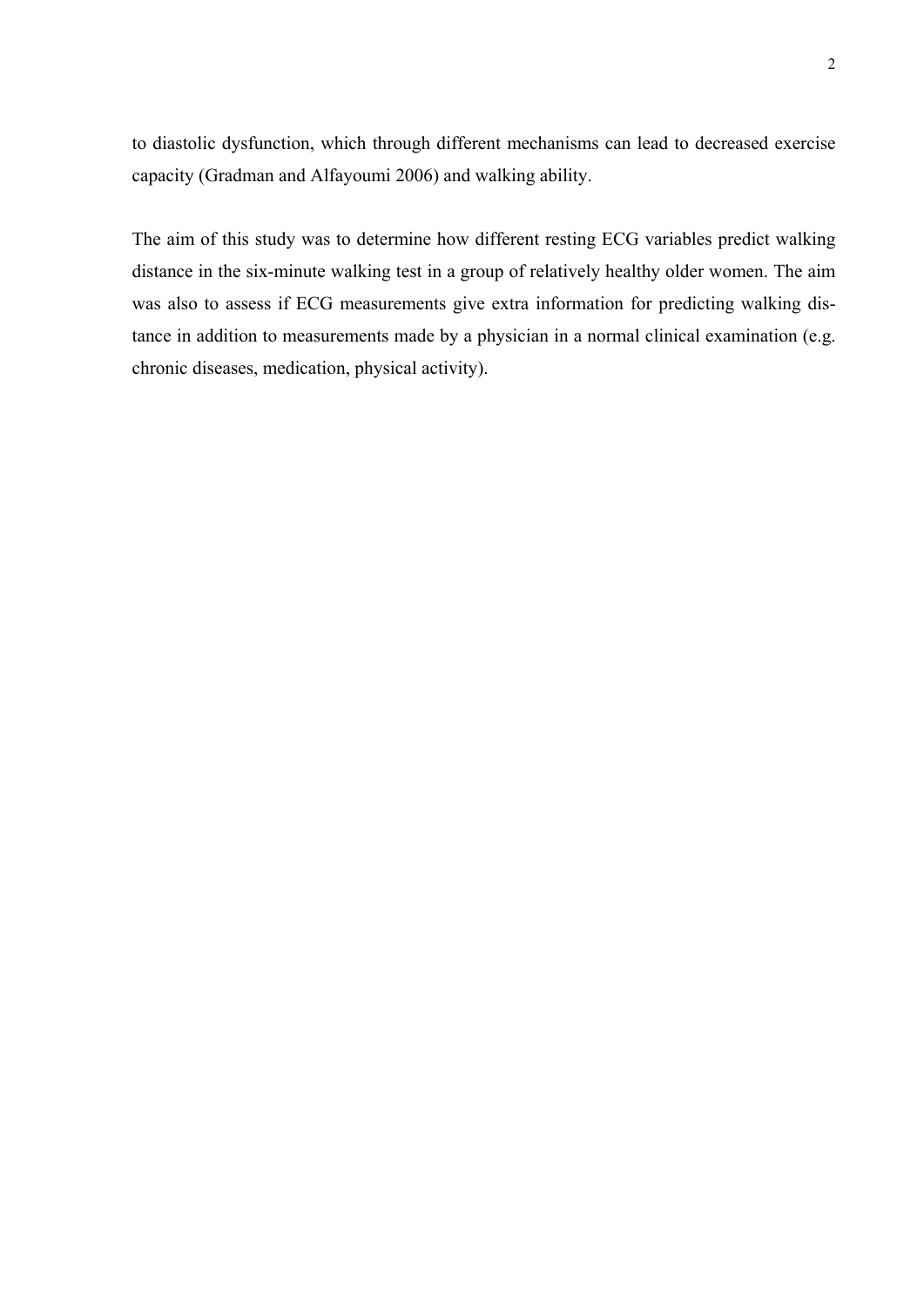to diastolic dysfunction, which through different mechanisms can lead to decreased exercise capacity (Gradman and Alfayoumi 2006) and walking ability.

The aim of this study was to determine how different resting ECG variables predict walking distance in the six-minute walking test in a group of relatively healthy older women. The aim was also to assess if ECG measurements give extra information for predicting walking distance in addition to measurements made by a physician in a normal clinical examination (e.g. chronic diseases, medication, physical activity).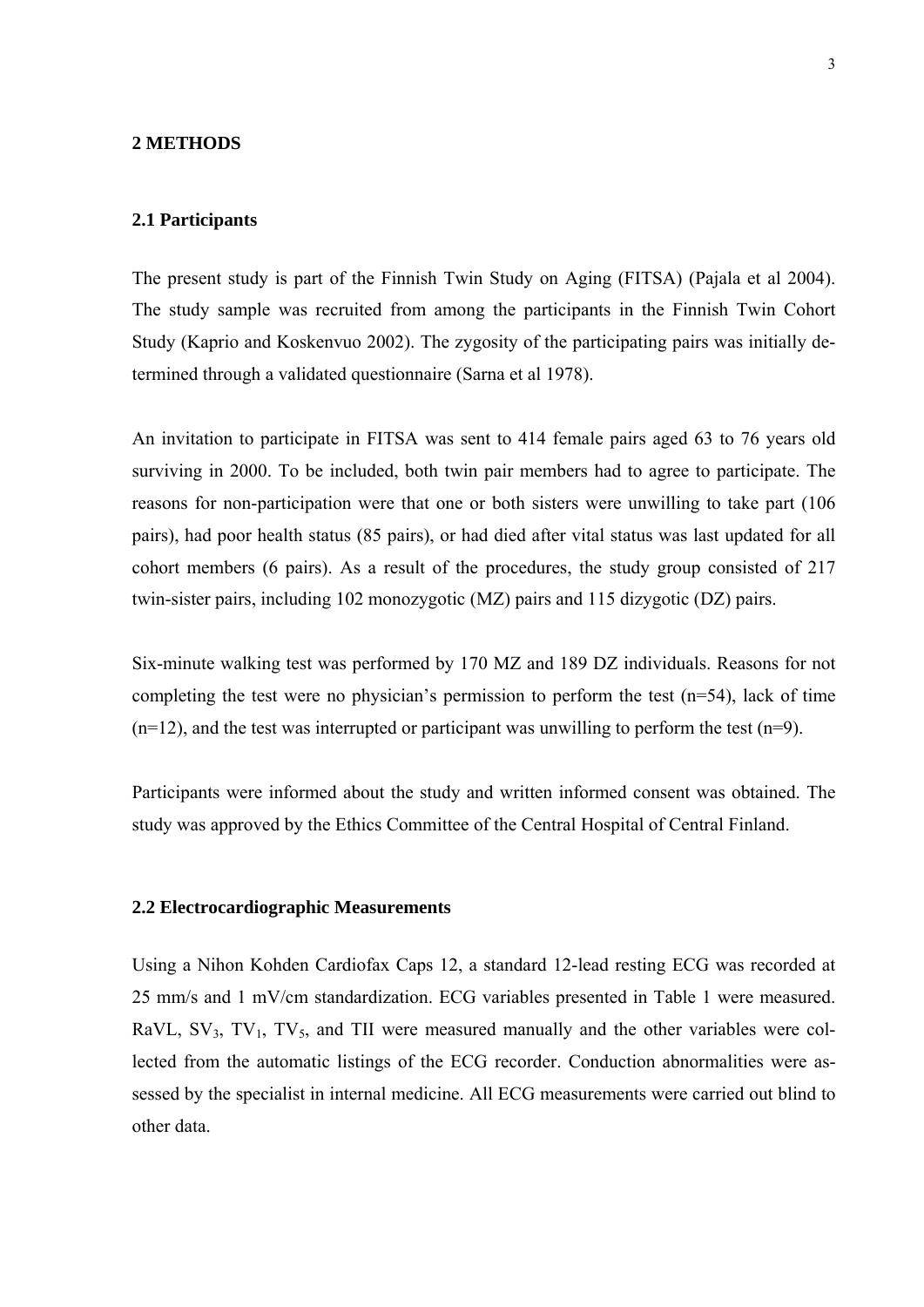## **2 METHODS**

### **2.1 Participants**

The present study is part of the Finnish Twin Study on Aging (FITSA) (Pajala et al 2004). The study sample was recruited from among the participants in the Finnish Twin Cohort Study (Kaprio and Koskenvuo 2002). The zygosity of the participating pairs was initially determined through a validated questionnaire (Sarna et al 1978).

An invitation to participate in FITSA was sent to 414 female pairs aged 63 to 76 years old surviving in 2000. To be included, both twin pair members had to agree to participate. The reasons for non-participation were that one or both sisters were unwilling to take part (106 pairs), had poor health status (85 pairs), or had died after vital status was last updated for all cohort members (6 pairs). As a result of the procedures, the study group consisted of 217 twin-sister pairs, including 102 monozygotic (MZ) pairs and 115 dizygotic (DZ) pairs.

Six-minute walking test was performed by 170 MZ and 189 DZ individuals. Reasons for not completing the test were no physician's permission to perform the test  $(n=54)$ , lack of time  $(n=12)$ , and the test was interrupted or participant was unwilling to perform the test  $(n=9)$ .

Participants were informed about the study and written informed consent was obtained. The study was approved by the Ethics Committee of the Central Hospital of Central Finland.

## **2.2 Electrocardiographic Measurements**

Using a Nihon Kohden Cardiofax Caps 12, a standard 12-lead resting ECG was recorded at 25 mm/s and 1 mV/cm standardization. ECG variables presented in Table 1 were measured. RaVL,  $SV_3$ ,  $TV_1$ ,  $TV_5$ , and TII were measured manually and the other variables were collected from the automatic listings of the ECG recorder. Conduction abnormalities were assessed by the specialist in internal medicine. All ECG measurements were carried out blind to other data.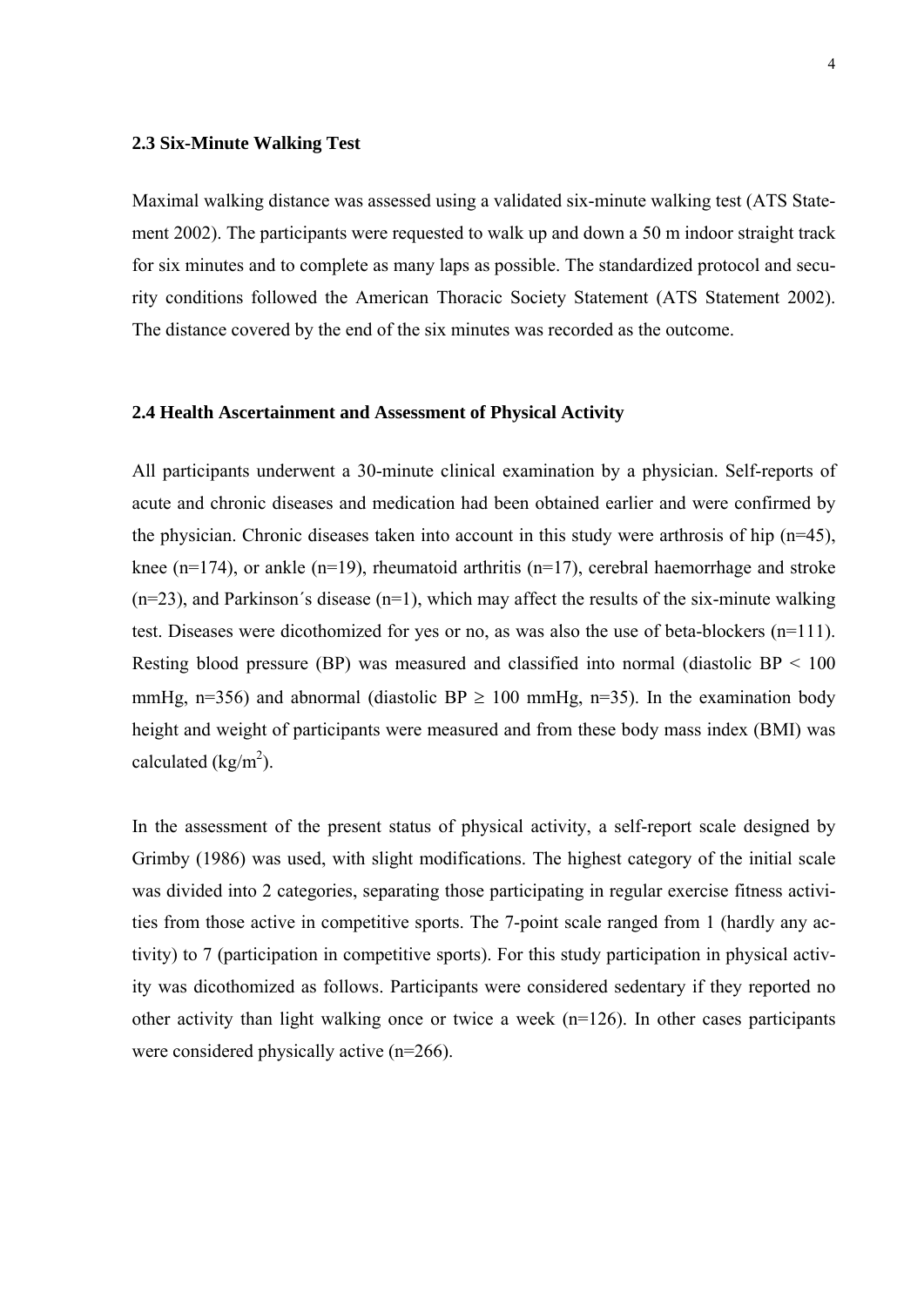#### **2.3 Six-Minute Walking Test**

Maximal walking distance was assessed using a validated six-minute walking test (ATS Statement 2002). The participants were requested to walk up and down a 50 m indoor straight track for six minutes and to complete as many laps as possible. The standardized protocol and security conditions followed the American Thoracic Society Statement (ATS Statement 2002). The distance covered by the end of the six minutes was recorded as the outcome.

## **2.4 Health Ascertainment and Assessment of Physical Activity**

All participants underwent a 30-minute clinical examination by a physician. Self-reports of acute and chronic diseases and medication had been obtained earlier and were confirmed by the physician. Chronic diseases taken into account in this study were arthrosis of hip (n=45), knee ( $n=174$ ), or ankle ( $n=19$ ), rheumatoid arthritis ( $n=17$ ), cerebral haemorrhage and stroke  $(n=23)$ , and Parkinson's disease  $(n=1)$ , which may affect the results of the six-minute walking test. Diseases were dicothomized for yes or no, as was also the use of beta-blockers (n=111). Resting blood pressure (BP) was measured and classified into normal (diastolic  $BP < 100$ ) mmHg, n=356) and abnormal (diastolic BP  $\geq$  100 mmHg, n=35). In the examination body height and weight of participants were measured and from these body mass index (BMI) was calculated ( $\text{kg/m}^2$ ).

In the assessment of the present status of physical activity, a self-report scale designed by Grimby (1986) was used, with slight modifications. The highest category of the initial scale was divided into 2 categories, separating those participating in regular exercise fitness activities from those active in competitive sports. The 7-point scale ranged from 1 (hardly any activity) to 7 (participation in competitive sports). For this study participation in physical activity was dicothomized as follows. Participants were considered sedentary if they reported no other activity than light walking once or twice a week (n=126). In other cases participants were considered physically active (n=266).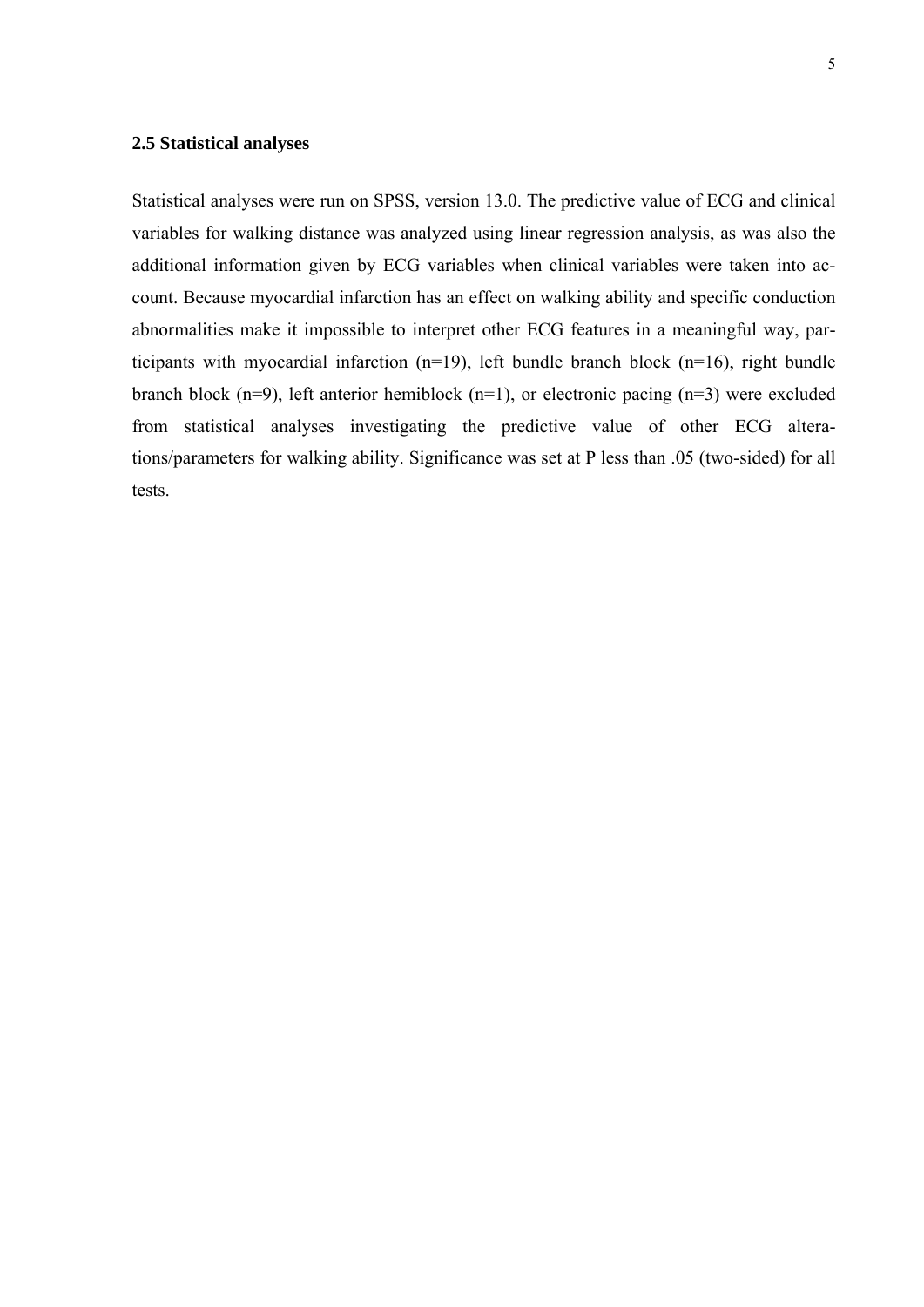## **2.5 Statistical analyses**

Statistical analyses were run on SPSS, version 13.0. The predictive value of ECG and clinical variables for walking distance was analyzed using linear regression analysis, as was also the additional information given by ECG variables when clinical variables were taken into account. Because myocardial infarction has an effect on walking ability and specific conduction abnormalities make it impossible to interpret other ECG features in a meaningful way, participants with myocardial infarction (n=19), left bundle branch block (n=16), right bundle branch block (n=9), left anterior hemiblock (n=1), or electronic pacing (n=3) were excluded from statistical analyses investigating the predictive value of other ECG alterations/parameters for walking ability. Significance was set at P less than .05 (two-sided) for all tests.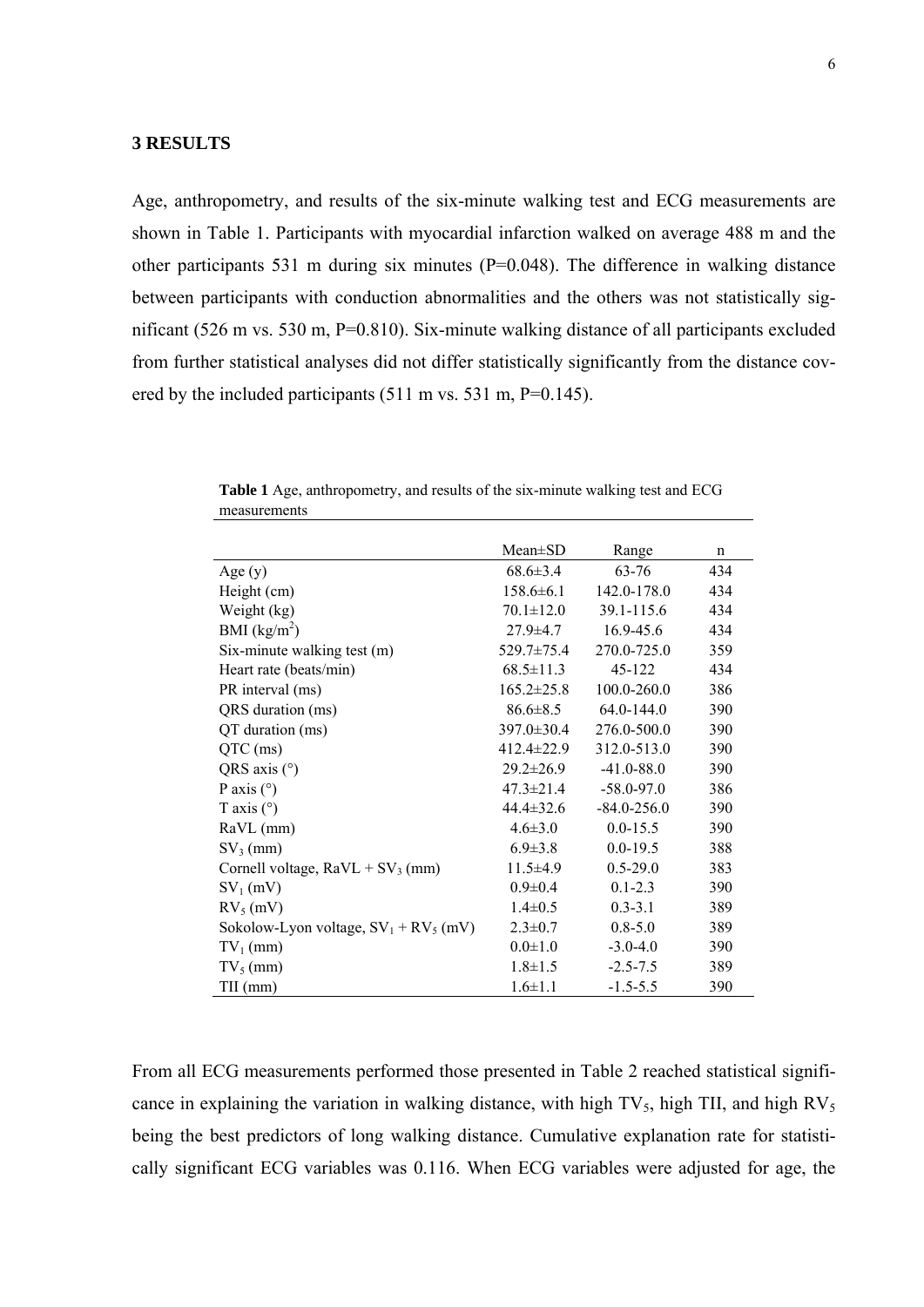Age, anthropometry, and results of the six-minute walking test and ECG measurements are shown in Table 1. Participants with myocardial infarction walked on average 488 m and the other participants 531 m during six minutes (P=0.048). The difference in walking distance between participants with conduction abnormalities and the others was not statistically significant (526 m vs. 530 m, P=0.810). Six-minute walking distance of all participants excluded from further statistical analyses did not differ statistically significantly from the distance covered by the included participants (511 m vs. 531 m, P=0.145).

|                                          | $Mean \pm SD$    | Range           | n   |
|------------------------------------------|------------------|-----------------|-----|
| Age $(y)$                                | $68.6 \pm 3.4$   | 63-76           | 434 |
| Height (cm)                              | $158.6 \pm 6.1$  | 142.0-178.0     | 434 |
| Weight (kg)                              | $70.1 \pm 12.0$  | 39.1-115.6      | 434 |
| BMI $(kg/m^2)$                           | $27.9 \pm 4.7$   | $16.9 - 45.6$   | 434 |
| Six-minute walking test (m)              | $529.7 \pm 75.4$ | 270.0-725.0     | 359 |
| Heart rate (beats/min)                   | $68.5 \pm 11.3$  | 45-122          | 434 |
| PR interval (ms)                         | $165.2 \pm 25.8$ | 100.0-260.0     | 386 |
| QRS duration (ms)                        | $86.6 \pm 8.5$   | 64.0-144.0      | 390 |
| QT duration (ms)                         | 397.0±30.4       | 276.0-500.0     | 390 |
| $QTC$ (ms)                               | $412.4 \pm 22.9$ | 312.0-513.0     | 390 |
| QRS axis $(°)$                           | $29.2 \pm 26.9$  | $-41.0 - 88.0$  | 390 |
| P axis $(°)$                             | $47.3 \pm 21.4$  | $-58.0 - 97.0$  | 386 |
| T axis $(°)$                             | $44.4 \pm 32.6$  | $-84.0 - 256.0$ | 390 |
| RaVL (mm)                                | $4.6 \pm 3.0$    | $0.0 - 15.5$    | 390 |
| $SV_3$ (mm)                              | $6.9 \pm 3.8$    | $0.0 - 19.5$    | 388 |
| Cornell voltage, $RaVL + SV_3$ (mm)      | $11.5 \pm 4.9$   | $0.5 - 29.0$    | 383 |
| $SV_1$ (mV)                              | $0.9 \pm 0.4$    | $0.1 - 2.3$     | 390 |
| $RV5$ (mV)                               | $1.4 \pm 0.5$    | $0.3 - 3.1$     | 389 |
| Sokolow-Lyon voltage, $SV_1 + RV_5$ (mV) | $2.3 \pm 0.7$    | $0.8 - 5.0$     | 389 |
| $TV_1$ (mm)                              | $0.0 \pm 1.0$    | $-3.0 - 4.0$    | 390 |
| $TV_5$ (mm)                              | $1.8 \pm 1.5$    | $-2.5 - 7.5$    | 389 |
| $TII$ (mm)                               | $1.6 \pm 1.1$    | $-1.5 - 5.5$    | 390 |

**Table 1** Age, anthropometry, and results of the six-minute walking test and ECG measurements

From all ECG measurements performed those presented in Table 2 reached statistical significance in explaining the variation in walking distance, with high  $TV_5$ , high TII, and high  $RV_5$ being the best predictors of long walking distance. Cumulative explanation rate for statistically significant ECG variables was 0.116. When ECG variables were adjusted for age, the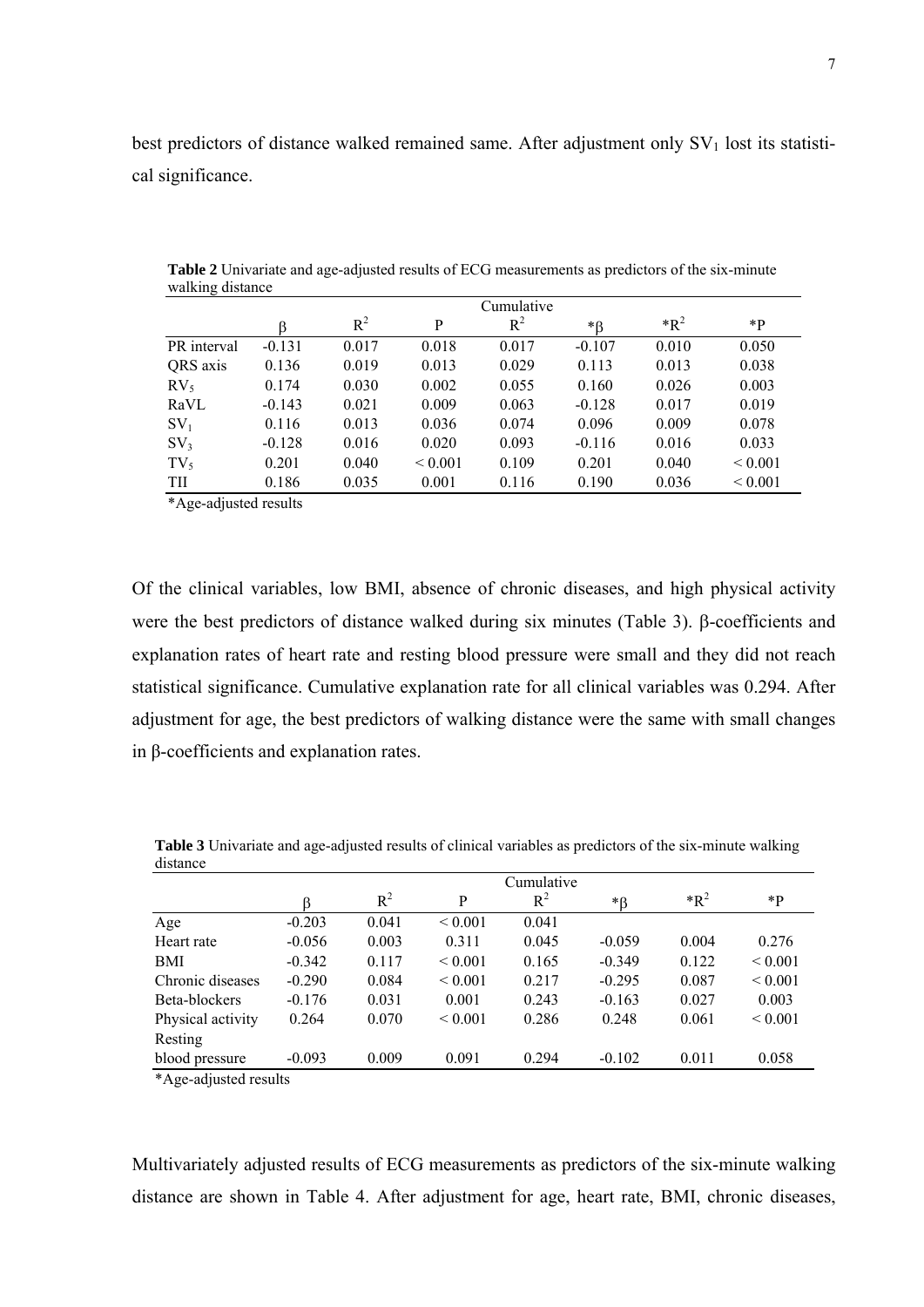best predictors of distance walked remained same. After adjustment only  $SV<sub>1</sub>$  lost its statistical significance.

| ັ               | Cumulative |       |              |       |          |        |              |
|-----------------|------------|-------|--------------|-------|----------|--------|--------------|
|                 |            | $R^2$ | P            | $R^2$ | *ß       | $*R^2$ | *P           |
| PR interval     | $-0.131$   | 0.017 | 0.018        | 0.017 | $-0.107$ | 0.010  | 0.050        |
| QRS axis        | 0.136      | 0.019 | 0.013        | 0.029 | 0.113    | 0.013  | 0.038        |
| $RV_{5}$        | 0.174      | 0.030 | 0.002        | 0.055 | 0.160    | 0.026  | 0.003        |
| RaVL            | $-0.143$   | 0.021 | 0.009        | 0.063 | $-0.128$ | 0.017  | 0.019        |
| $SV_1$          | 0.116      | 0.013 | 0.036        | 0.074 | 0.096    | 0.009  | 0.078        |
| SV <sub>3</sub> | $-0.128$   | 0.016 | 0.020        | 0.093 | $-0.116$ | 0.016  | 0.033        |
| $TV_5$          | 0.201      | 0.040 | ${}_{0.001}$ | 0.109 | 0.201    | 0.040  | ${}_{0.001}$ |
| TII             | 0.186      | 0.035 | 0.001        | 0.116 | 0.190    | 0.036  | ${}_{0.001}$ |

**Table 2** Univariate and age-adjusted results of ECG measurements as predictors of the six-minute walking distance

\*Age-adjusted results

Of the clinical variables, low BMI, absence of chronic diseases, and high physical activity were the best predictors of distance walked during six minutes (Table 3). β-coefficients and explanation rates of heart rate and resting blood pressure were small and they did not reach statistical significance. Cumulative explanation rate for all clinical variables was 0.294. After adjustment for age, the best predictors of walking distance were the same with small changes in β-coefficients and explanation rates.

|                   | Cumulative |       |              |       |             |        |              |
|-------------------|------------|-------|--------------|-------|-------------|--------|--------------|
|                   | ß          | $R^2$ | P            | $R^2$ | $*_{\beta}$ | $*R^2$ | *P           |
| Age               | $-0.203$   | 0.041 | ${}_{0.001}$ | 0.041 |             |        |              |
| Heart rate        | $-0.056$   | 0.003 | 0.311        | 0.045 | $-0.059$    | 0.004  | 0.276        |
| <b>BMI</b>        | $-0.342$   | 0.117 | ${}_{0.001}$ | 0.165 | $-0.349$    | 0.122  | ${}_{0.001}$ |
| Chronic diseases  | $-0.290$   | 0.084 | ${}_{0.001}$ | 0.217 | $-0.295$    | 0.087  | ${}_{0.001}$ |
| Beta-blockers     | $-0.176$   | 0.031 | 0.001        | 0.243 | $-0.163$    | 0.027  | 0.003        |
| Physical activity | 0.264      | 0.070 | ${}_{0.001}$ | 0.286 | 0.248       | 0.061  | ${}_{0.001}$ |
| Resting           |            |       |              |       |             |        |              |
| blood pressure    | $-0.093$   | 0.009 | 0.091        | 0.294 | $-0.102$    | 0.011  | 0.058        |

**Table 3** Univariate and age-adjusted results of clinical variables as predictors of the six-minute walking distance

\*Age-adjusted results

Multivariately adjusted results of ECG measurements as predictors of the six-minute walking distance are shown in Table 4. After adjustment for age, heart rate, BMI, chronic diseases,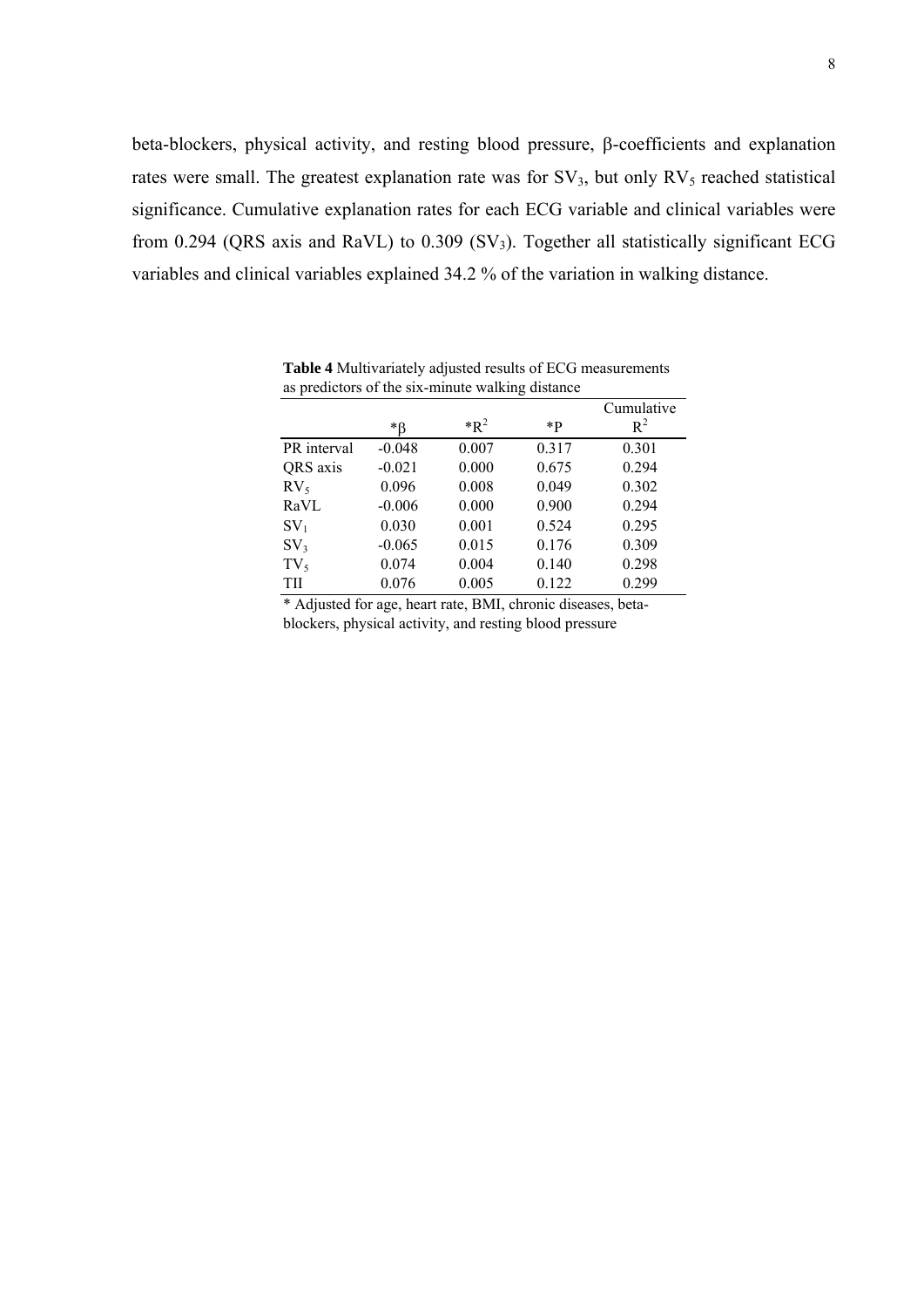beta-blockers, physical activity, and resting blood pressure, β-coefficients and explanation rates were small. The greatest explanation rate was for  $SV_3$ , but only  $RV_5$  reached statistical significance. Cumulative explanation rates for each ECG variable and clinical variables were from 0.294 (QRS axis and RaVL) to 0.309 (SV3). Together all statistically significant ECG variables and clinical variables explained 34.2 % of the variation in walking distance.

|                 |          |        |       | Cumulative |
|-----------------|----------|--------|-------|------------|
|                 | *β       | $*R^2$ | $*p$  | $R^2$      |
| PR interval     | $-0.048$ | 0.007  | 0.317 | 0.301      |
| QRS axis        | $-0.021$ | 0.000  | 0.675 | 0.294      |
| $RV_5$          | 0.096    | 0.008  | 0.049 | 0.302      |
| RaVL            | $-0.006$ | 0.000  | 0.900 | 0.294      |
| $SV_1$          | 0.030    | 0.001  | 0.524 | 0.295      |
| SV <sub>3</sub> | $-0.065$ | 0.015  | 0.176 | 0.309      |
| $TV_5$          | 0.074    | 0.004  | 0.140 | 0.298      |
| TH              | 0.076    | 0.005  | 0.122 | 0.299      |

**Table 4** Multivariately adjusted results of ECG measurements as predictors of the six-minute walking distance

\* Adjusted for age, heart rate, BMI, chronic diseases, betablockers, physical activity, and resting blood pressure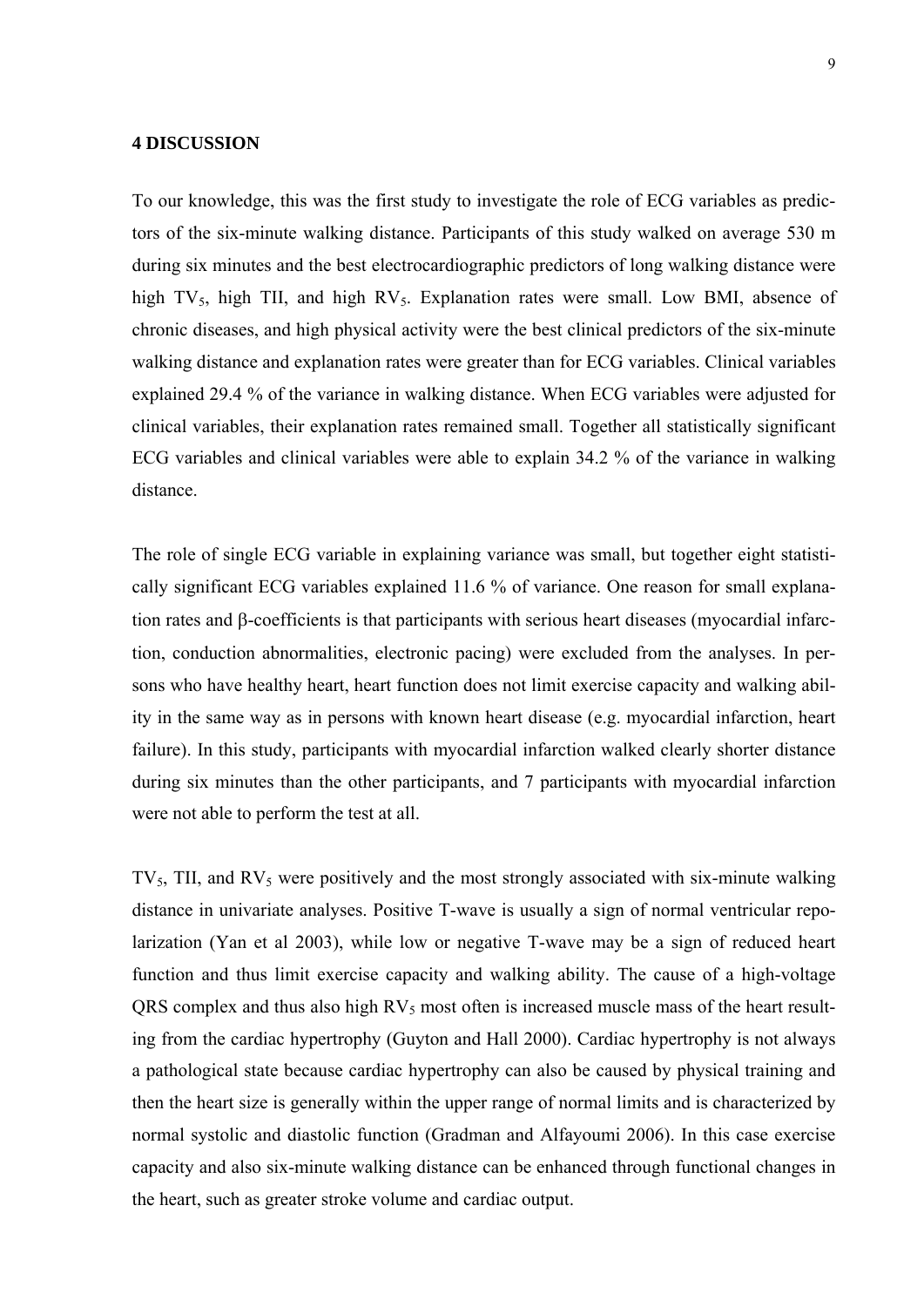## **4 DISCUSSION**

To our knowledge, this was the first study to investigate the role of ECG variables as predictors of the six-minute walking distance. Participants of this study walked on average 530 m during six minutes and the best electrocardiographic predictors of long walking distance were high TV<sub>5</sub>, high TII, and high  $RV_5$ . Explanation rates were small. Low BMI, absence of chronic diseases, and high physical activity were the best clinical predictors of the six-minute walking distance and explanation rates were greater than for ECG variables. Clinical variables explained 29.4 % of the variance in walking distance. When ECG variables were adjusted for clinical variables, their explanation rates remained small. Together all statistically significant ECG variables and clinical variables were able to explain 34.2 % of the variance in walking distance.

The role of single ECG variable in explaining variance was small, but together eight statistically significant ECG variables explained 11.6 % of variance. One reason for small explanation rates and β-coefficients is that participants with serious heart diseases (myocardial infarction, conduction abnormalities, electronic pacing) were excluded from the analyses. In persons who have healthy heart, heart function does not limit exercise capacity and walking ability in the same way as in persons with known heart disease (e.g. myocardial infarction, heart failure). In this study, participants with myocardial infarction walked clearly shorter distance during six minutes than the other participants, and 7 participants with myocardial infarction were not able to perform the test at all.

 $TV_5$ , TII, and  $RV_5$  were positively and the most strongly associated with six-minute walking distance in univariate analyses. Positive T-wave is usually a sign of normal ventricular repolarization (Yan et al 2003), while low or negative T-wave may be a sign of reduced heart function and thus limit exercise capacity and walking ability. The cause of a high-voltage QRS complex and thus also high  $RV_5$  most often is increased muscle mass of the heart resulting from the cardiac hypertrophy (Guyton and Hall 2000). Cardiac hypertrophy is not always a pathological state because cardiac hypertrophy can also be caused by physical training and then the heart size is generally within the upper range of normal limits and is characterized by normal systolic and diastolic function (Gradman and Alfayoumi 2006). In this case exercise capacity and also six-minute walking distance can be enhanced through functional changes in the heart, such as greater stroke volume and cardiac output.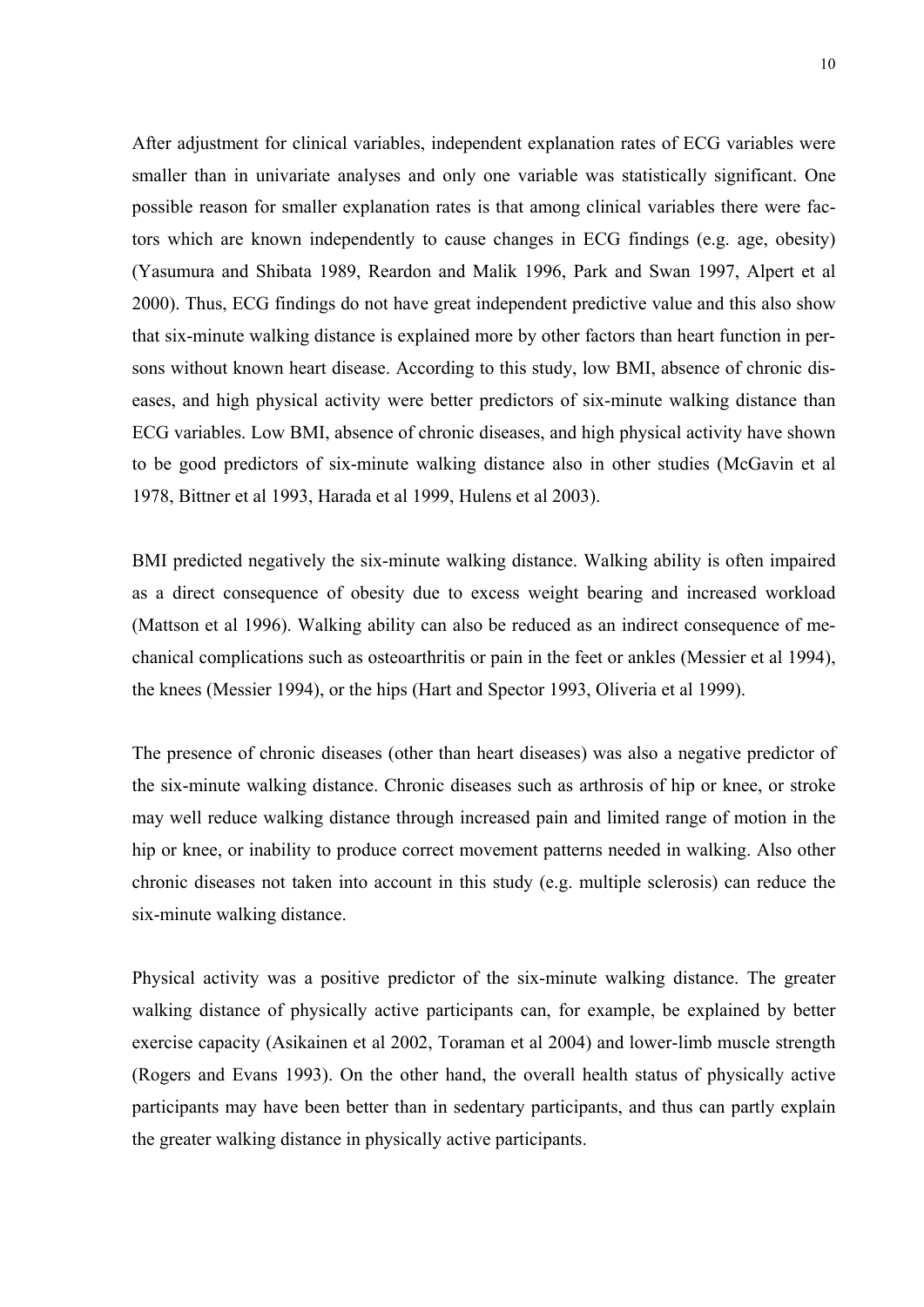After adjustment for clinical variables, independent explanation rates of ECG variables were smaller than in univariate analyses and only one variable was statistically significant. One possible reason for smaller explanation rates is that among clinical variables there were factors which are known independently to cause changes in ECG findings (e.g. age, obesity) (Yasumura and Shibata 1989, Reardon and Malik 1996, Park and Swan 1997, Alpert et al 2000). Thus, ECG findings do not have great independent predictive value and this also show that six-minute walking distance is explained more by other factors than heart function in persons without known heart disease. According to this study, low BMI, absence of chronic diseases, and high physical activity were better predictors of six-minute walking distance than ECG variables. Low BMI, absence of chronic diseases, and high physical activity have shown to be good predictors of six-minute walking distance also in other studies (McGavin et al 1978, Bittner et al 1993, Harada et al 1999, Hulens et al 2003).

BMI predicted negatively the six-minute walking distance. Walking ability is often impaired as a direct consequence of obesity due to excess weight bearing and increased workload (Mattson et al 1996). Walking ability can also be reduced as an indirect consequence of mechanical complications such as osteoarthritis or pain in the feet or ankles (Messier et al 1994), the knees (Messier 1994), or the hips (Hart and Spector 1993, Oliveria et al 1999).

The presence of chronic diseases (other than heart diseases) was also a negative predictor of the six-minute walking distance. Chronic diseases such as arthrosis of hip or knee, or stroke may well reduce walking distance through increased pain and limited range of motion in the hip or knee, or inability to produce correct movement patterns needed in walking. Also other chronic diseases not taken into account in this study (e.g. multiple sclerosis) can reduce the six-minute walking distance.

Physical activity was a positive predictor of the six-minute walking distance. The greater walking distance of physically active participants can, for example, be explained by better exercise capacity (Asikainen et al 2002, Toraman et al 2004) and lower-limb muscle strength (Rogers and Evans 1993). On the other hand, the overall health status of physically active participants may have been better than in sedentary participants, and thus can partly explain the greater walking distance in physically active participants.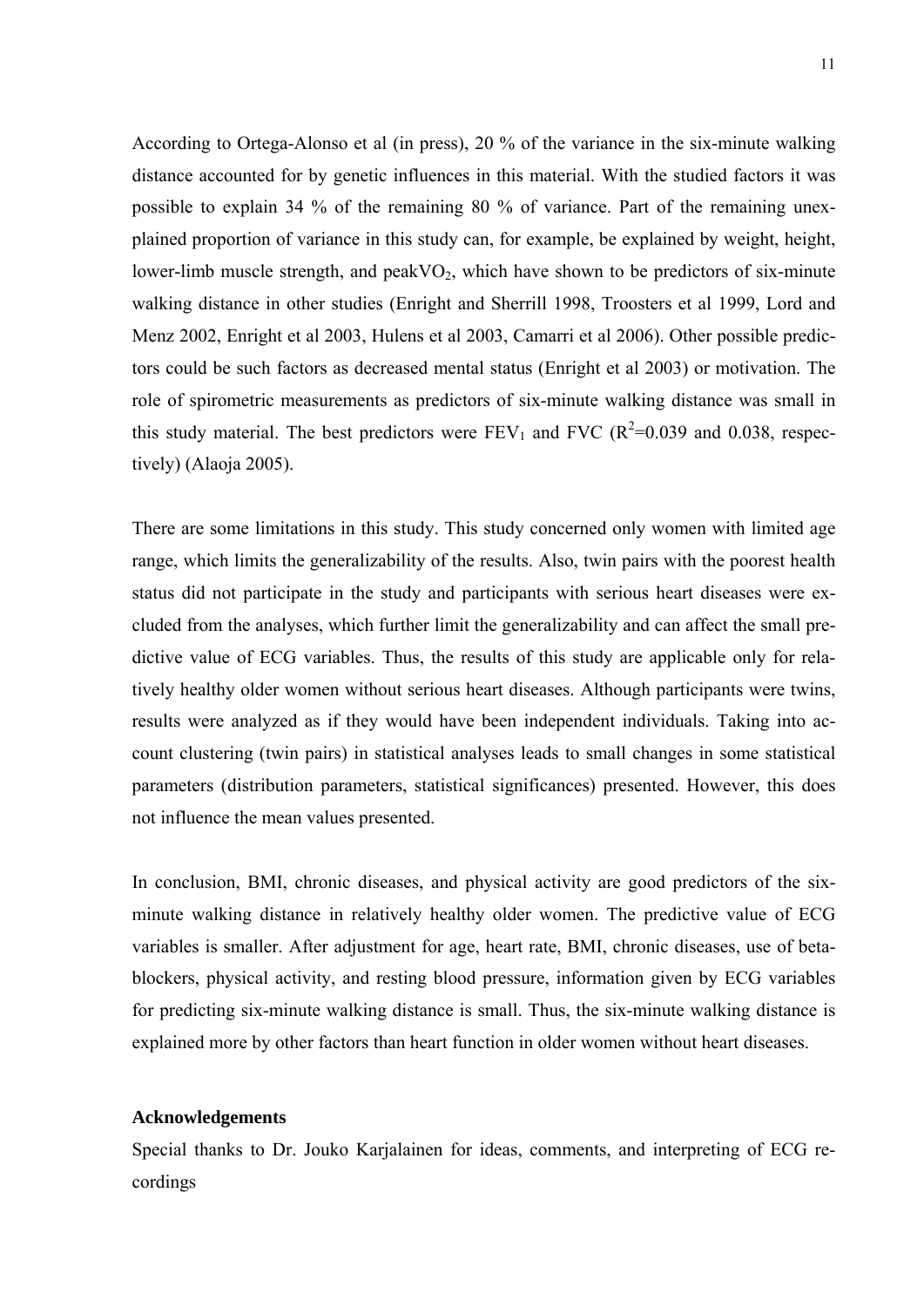According to Ortega-Alonso et al (in press), 20 % of the variance in the six-minute walking distance accounted for by genetic influences in this material. With the studied factors it was possible to explain 34 % of the remaining 80 % of variance. Part of the remaining unexplained proportion of variance in this study can, for example, be explained by weight, height, lower-limb muscle strength, and  $peakVO<sub>2</sub>$ , which have shown to be predictors of six-minute walking distance in other studies (Enright and Sherrill 1998, Troosters et al 1999, Lord and Menz 2002, Enright et al 2003, Hulens et al 2003, Camarri et al 2006). Other possible predictors could be such factors as decreased mental status (Enright et al 2003) or motivation. The role of spirometric measurements as predictors of six-minute walking distance was small in this study material. The best predictors were  $FEV_1$  and  $FVC$  ( $R^2=0.039$  and 0.038, respectively) (Alaoja 2005).

There are some limitations in this study. This study concerned only women with limited age range, which limits the generalizability of the results. Also, twin pairs with the poorest health status did not participate in the study and participants with serious heart diseases were excluded from the analyses, which further limit the generalizability and can affect the small predictive value of ECG variables. Thus, the results of this study are applicable only for relatively healthy older women without serious heart diseases. Although participants were twins, results were analyzed as if they would have been independent individuals. Taking into account clustering (twin pairs) in statistical analyses leads to small changes in some statistical parameters (distribution parameters, statistical significances) presented. However, this does not influence the mean values presented.

In conclusion, BMI, chronic diseases, and physical activity are good predictors of the sixminute walking distance in relatively healthy older women. The predictive value of ECG variables is smaller. After adjustment for age, heart rate, BMI, chronic diseases, use of betablockers, physical activity, and resting blood pressure, information given by ECG variables for predicting six-minute walking distance is small. Thus, the six-minute walking distance is explained more by other factors than heart function in older women without heart diseases.

## **Acknowledgements**

Special thanks to Dr. Jouko Karjalainen for ideas, comments, and interpreting of ECG recordings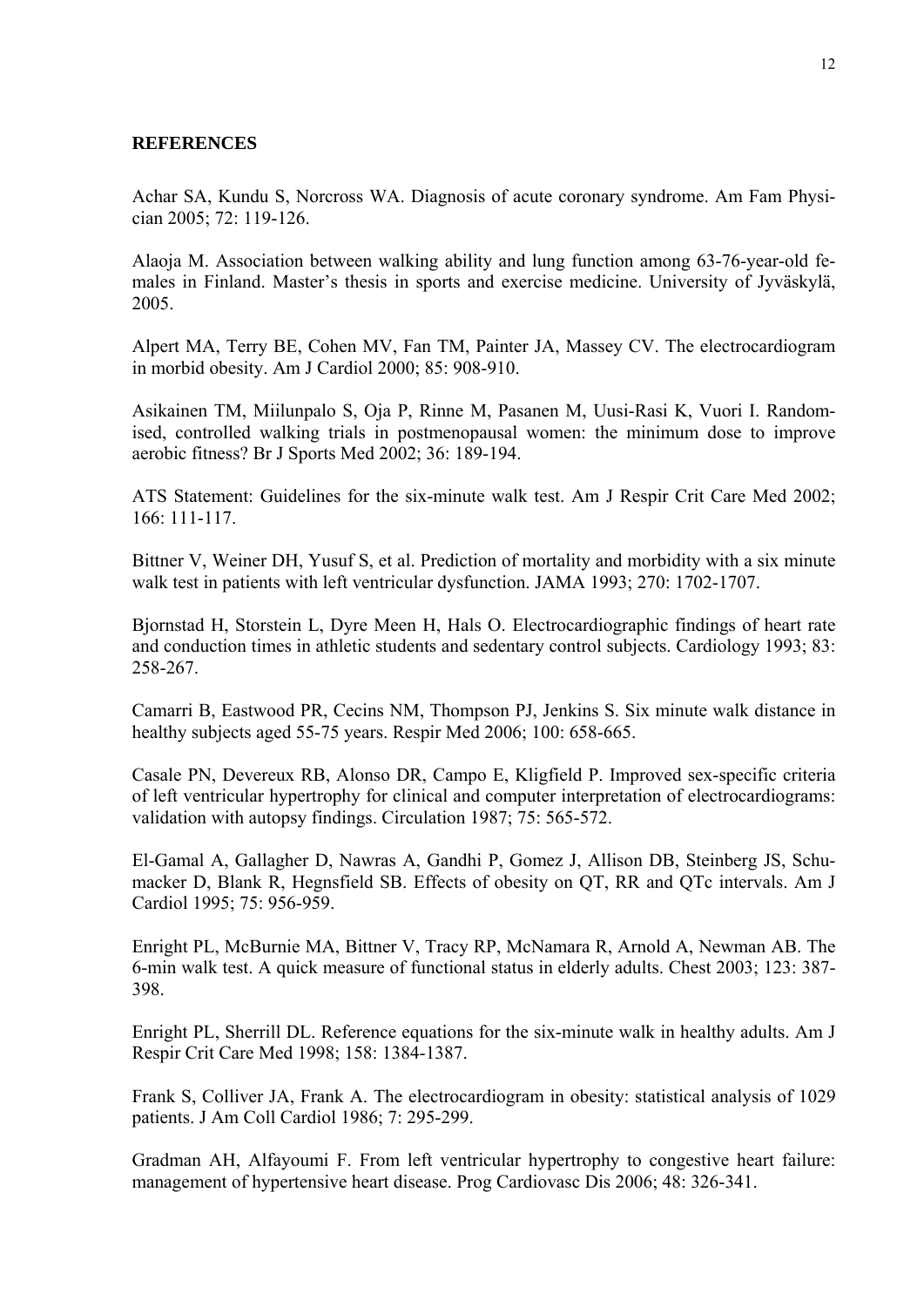## **REFERENCES**

Achar SA, Kundu S, Norcross WA. Diagnosis of acute coronary syndrome. Am Fam Physician 2005; 72: 119-126.

Alaoja M. Association between walking ability and lung function among 63-76-year-old females in Finland. Master's thesis in sports and exercise medicine. University of Jyväskylä, 2005.

Alpert MA, Terry BE, Cohen MV, Fan TM, Painter JA, Massey CV. The electrocardiogram in morbid obesity. Am J Cardiol 2000; 85: 908-910.

Asikainen TM, Miilunpalo S, Oja P, Rinne M, Pasanen M, Uusi-Rasi K, Vuori I. Randomised, controlled walking trials in postmenopausal women: the minimum dose to improve aerobic fitness? Br J Sports Med 2002; 36: 189-194.

ATS Statement: Guidelines for the six-minute walk test. Am J Respir Crit Care Med 2002; 166: 111-117.

Bittner V, Weiner DH, Yusuf S, et al. Prediction of mortality and morbidity with a six minute walk test in patients with left ventricular dysfunction. JAMA 1993; 270: 1702-1707.

Bjornstad H, Storstein L, Dyre Meen H, Hals O. Electrocardiographic findings of heart rate and conduction times in athletic students and sedentary control subjects. Cardiology 1993; 83: 258-267.

Camarri B, Eastwood PR, Cecins NM, Thompson PJ, Jenkins S. Six minute walk distance in healthy subjects aged 55-75 years. Respir Med 2006; 100: 658-665.

Casale PN, Devereux RB, Alonso DR, Campo E, Kligfield P. Improved sex-specific criteria of left ventricular hypertrophy for clinical and computer interpretation of electrocardiograms: validation with autopsy findings. Circulation 1987; 75: 565-572.

El-Gamal A, Gallagher D, Nawras A, Gandhi P, Gomez J, Allison DB, Steinberg JS, Schumacker D, Blank R, Hegnsfield SB. Effects of obesity on QT, RR and QTc intervals. Am J Cardiol 1995; 75: 956-959.

Enright PL, McBurnie MA, Bittner V, Tracy RP, McNamara R, Arnold A, Newman AB. The 6-min walk test. A quick measure of functional status in elderly adults. Chest 2003; 123: 387- 398.

Enright PL, Sherrill DL. Reference equations for the six-minute walk in healthy adults. Am J Respir Crit Care Med 1998; 158: 1384-1387.

Frank S, Colliver JA, Frank A. The electrocardiogram in obesity: statistical analysis of 1029 patients. J Am Coll Cardiol 1986; 7: 295-299.

Gradman AH, Alfayoumi F. From left ventricular hypertrophy to congestive heart failure: management of hypertensive heart disease. Prog Cardiovasc Dis 2006; 48: 326-341.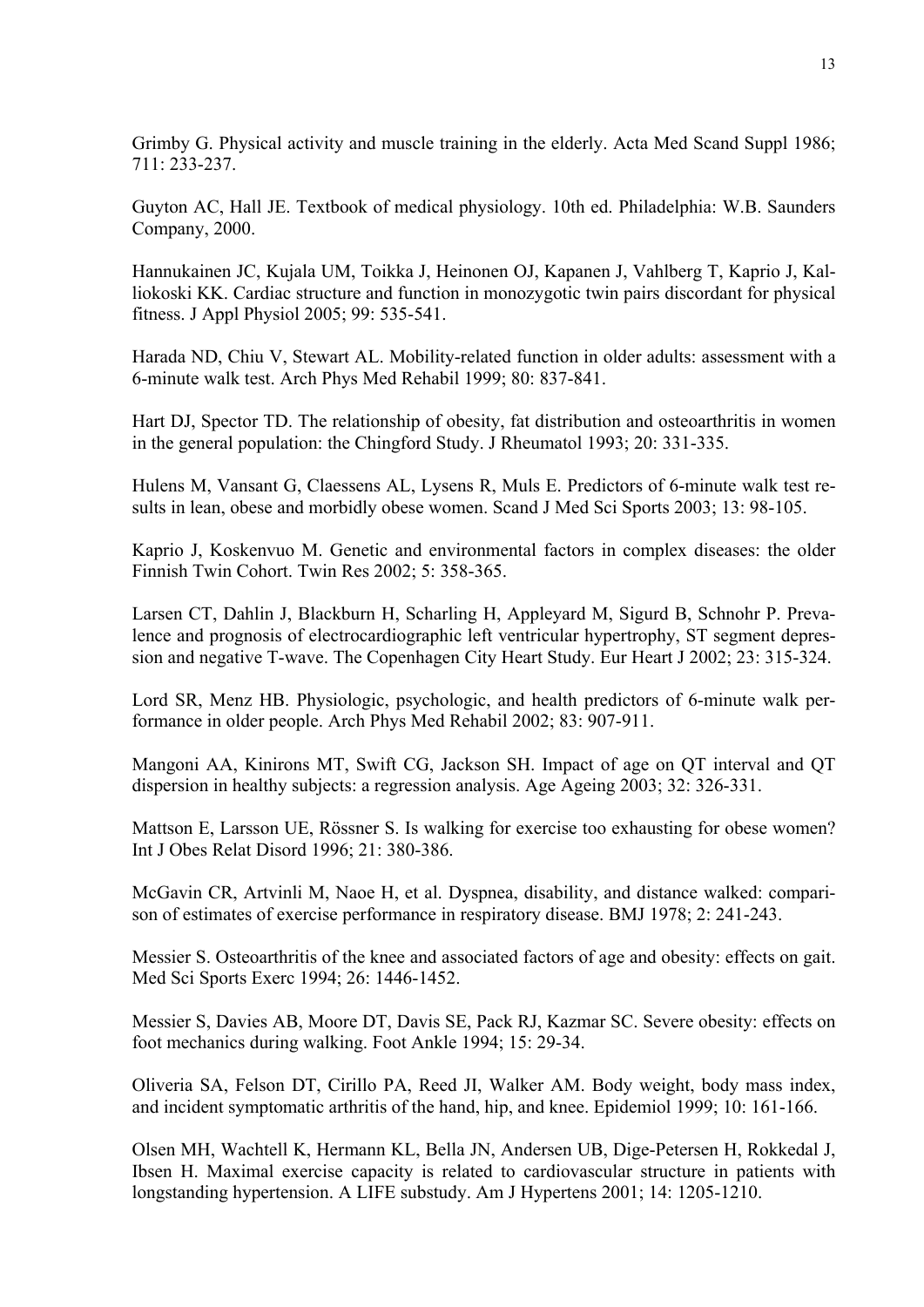Grimby G. Physical activity and muscle training in the elderly. Acta Med Scand Suppl 1986; 711: 233-237.

Guyton AC, Hall JE. Textbook of medical physiology. 10th ed. Philadelphia: W.B. Saunders Company, 2000.

Hannukainen JC, Kujala UM, Toikka J, Heinonen OJ, Kapanen J, Vahlberg T, Kaprio J, Kalliokoski KK. Cardiac structure and function in monozygotic twin pairs discordant for physical fitness. J Appl Physiol 2005; 99: 535-541.

Harada ND, Chiu V, Stewart AL. Mobility-related function in older adults: assessment with a 6-minute walk test. Arch Phys Med Rehabil 1999; 80: 837-841.

Hart DJ, Spector TD. The relationship of obesity, fat distribution and osteoarthritis in women in the general population: the Chingford Study. J Rheumatol 1993; 20: 331-335.

Hulens M, Vansant G, Claessens AL, Lysens R, Muls E. Predictors of 6-minute walk test results in lean, obese and morbidly obese women. Scand J Med Sci Sports 2003; 13: 98-105.

Kaprio J, Koskenvuo M. Genetic and environmental factors in complex diseases: the older Finnish Twin Cohort. Twin Res 2002; 5: 358-365.

Larsen CT, Dahlin J, Blackburn H, Scharling H, Appleyard M, Sigurd B, Schnohr P. Prevalence and prognosis of electrocardiographic left ventricular hypertrophy, ST segment depression and negative T-wave. The Copenhagen City Heart Study. Eur Heart J 2002; 23: 315-324.

Lord SR, Menz HB. Physiologic, psychologic, and health predictors of 6-minute walk performance in older people. Arch Phys Med Rehabil 2002; 83: 907-911.

Mangoni AA, Kinirons MT, Swift CG, Jackson SH. Impact of age on QT interval and QT dispersion in healthy subjects: a regression analysis. Age Ageing 2003; 32: 326-331.

Mattson E, Larsson UE, Rössner S. Is walking for exercise too exhausting for obese women? Int J Obes Relat Disord 1996; 21: 380-386.

McGavin CR, Artvinli M, Naoe H, et al. Dyspnea, disability, and distance walked: comparison of estimates of exercise performance in respiratory disease. BMJ 1978; 2: 241-243.

Messier S. Osteoarthritis of the knee and associated factors of age and obesity: effects on gait. Med Sci Sports Exerc 1994; 26: 1446-1452.

Messier S, Davies AB, Moore DT, Davis SE, Pack RJ, Kazmar SC. Severe obesity: effects on foot mechanics during walking. Foot Ankle 1994; 15: 29-34.

Oliveria SA, Felson DT, Cirillo PA, Reed JI, Walker AM. Body weight, body mass index, and incident symptomatic arthritis of the hand, hip, and knee. Epidemiol 1999; 10: 161-166.

Olsen MH, Wachtell K, Hermann KL, Bella JN, Andersen UB, Dige-Petersen H, Rokkedal J, Ibsen H. Maximal exercise capacity is related to cardiovascular structure in patients with longstanding hypertension. A LIFE substudy. Am J Hypertens 2001; 14: 1205-1210.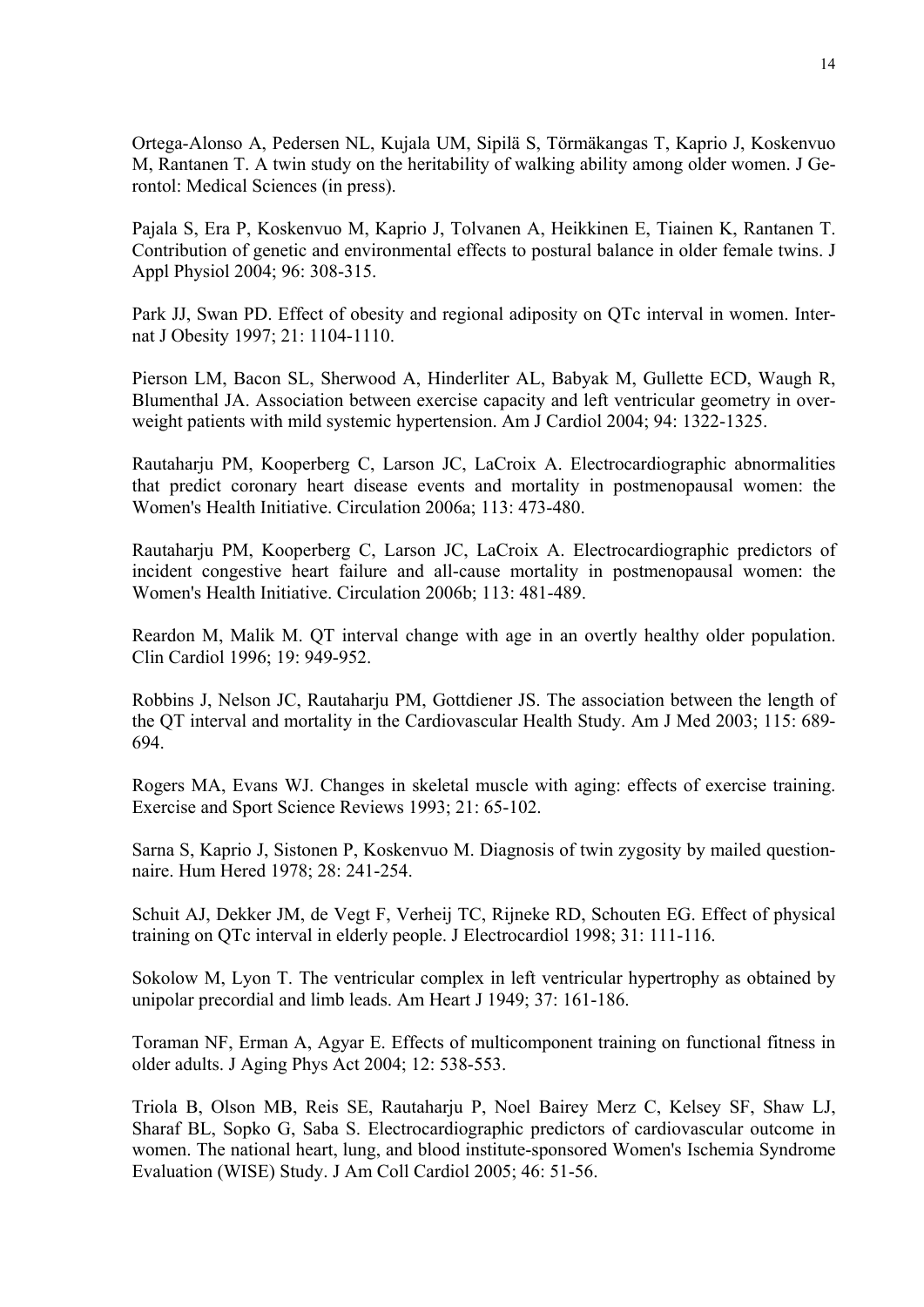Ortega-Alonso A, Pedersen NL, Kujala UM, Sipilä S, Törmäkangas T, Kaprio J, Koskenvuo M, Rantanen T. A twin study on the heritability of walking ability among older women. J Gerontol: Medical Sciences (in press).

Pajala S, Era P, Koskenvuo M, Kaprio J, Tolvanen A, Heikkinen E, Tiainen K, Rantanen T. Contribution of genetic and environmental effects to postural balance in older female twins. J Appl Physiol 2004; 96: 308-315.

Park JJ, Swan PD. Effect of obesity and regional adiposity on QTc interval in women. Internat J Obesity 1997; 21: 1104-1110.

Pierson LM, Bacon SL, Sherwood A, Hinderliter AL, Babyak M, Gullette ECD, Waugh R, Blumenthal JA. Association between exercise capacity and left ventricular geometry in overweight patients with mild systemic hypertension. Am J Cardiol 2004; 94: 1322-1325.

Rautaharju PM, Kooperberg C, Larson JC, LaCroix A. Electrocardiographic abnormalities that predict coronary heart disease events and mortality in postmenopausal women: the Women's Health Initiative. Circulation 2006a; 113: 473-480.

Rautaharju PM, Kooperberg C, Larson JC, LaCroix A. Electrocardiographic predictors of incident congestive heart failure and all-cause mortality in postmenopausal women: the Women's Health Initiative. Circulation 2006b; 113: 481-489.

Reardon M, Malik M. QT interval change with age in an overtly healthy older population. Clin Cardiol 1996; 19: 949-952.

Robbins J, Nelson JC, Rautaharju PM, Gottdiener JS. The association between the length of the QT interval and mortality in the Cardiovascular Health Study. Am J Med 2003; 115: 689- 694.

Rogers MA, Evans WJ. Changes in skeletal muscle with aging: effects of exercise training. Exercise and Sport Science Reviews 1993; 21: 65-102.

Sarna S, Kaprio J, Sistonen P, Koskenvuo M. Diagnosis of twin zygosity by mailed questionnaire. Hum Hered 1978; 28: 241-254.

Schuit AJ, Dekker JM, de Vegt F, Verheij TC, Rijneke RD, Schouten EG. Effect of physical training on QTc interval in elderly people. J Electrocardiol 1998; 31: 111-116.

Sokolow M, Lyon T. The ventricular complex in left ventricular hypertrophy as obtained by unipolar precordial and limb leads. Am Heart J 1949; 37: 161-186.

Toraman NF, Erman A, Agyar E. Effects of multicomponent training on functional fitness in older adults. J Aging Phys Act 2004; 12: 538-553.

Triola B, Olson MB, Reis SE, Rautaharju P, Noel Bairey Merz C, Kelsey SF, Shaw LJ, Sharaf BL, Sopko G, Saba S. Electrocardiographic predictors of cardiovascular outcome in women. The national heart, lung, and blood institute-sponsored Women's Ischemia Syndrome Evaluation (WISE) Study. J Am Coll Cardiol 2005; 46: 51-56.